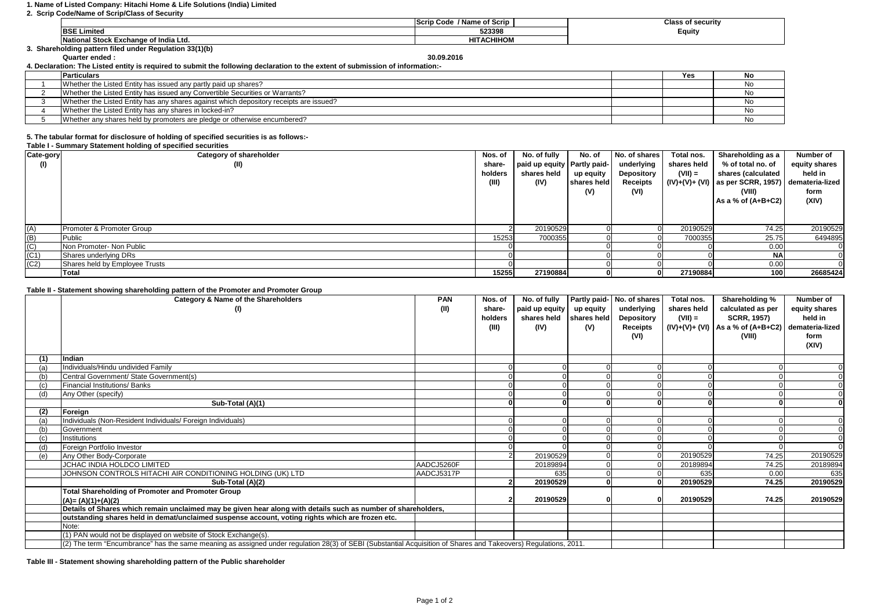## **1. Name of Listed Company: Hitachi Home & Life Solutions (India) Limited**

**2. Scrip Code/Name of Scrip/Class of Security**

|                                                        | / Name of Scrip<br>Code -<br>⊟Scri∽ | Class of securitv |
|--------------------------------------------------------|-------------------------------------|-------------------|
| <b>BSE Limited</b>                                     | 523398                              | Equity            |
| National Stock Exchange of India Ltd.                  | <b>HITACHIHOM</b>                   |                   |
| . Shareholding pattern filed under Regulation 33(1)(b) |                                     |                   |

**Quarter ended : 30.09.2016**

**4. Declaration: The Listed entity is required to submit the following declaration to the extent of submission of information:-**

| <b>Particulars</b>                                                                     | Yes | NO |
|----------------------------------------------------------------------------------------|-----|----|
| Whether the Listed Entity has issued any partly paid up shares?                        |     |    |
| Whether the Listed Entity has issued any Convertible Securities or Warrants?           |     |    |
| Whether the Listed Entity has any shares against which depository receipts are issued? |     |    |
| Whether the Listed Entity has any shares in locked-in?                                 |     |    |
| Whether any shares held by promoters are pledge or otherwise encumbered?               |     |    |

## **5. The tabular format for disclosure of holding of specified securities is as follows:-**

| Table I - Summary Statement holding of specified securities |  |
|-------------------------------------------------------------|--|
|-------------------------------------------------------------|--|

| Cate-gory                                                                                                   | <b>Category of shareholder</b> | Nos. of | No. of fully                  | No. of      | No. of shares | Total nos.  | Shareholding as a                                 | Number of     |
|-------------------------------------------------------------------------------------------------------------|--------------------------------|---------|-------------------------------|-------------|---------------|-------------|---------------------------------------------------|---------------|
| (1)                                                                                                         | (II)                           | share-  | paid up equity   Partly paid- |             | underlying    | shares held | % of total no. of                                 | equity shares |
|                                                                                                             |                                | holders | shares held                   | up equity   | Depository    | $(VII) =$   | shares (calculated                                | held in       |
|                                                                                                             |                                | (III)   | (IV)                          | shares held | Receipts      |             | $(IV)+(V)+(V)$ as per SCRR, 1957) demateria-lized |               |
|                                                                                                             |                                |         |                               | (V)         | (VI)          |             | (VIII)                                            | form          |
|                                                                                                             |                                |         |                               |             |               |             | As a % of (A+B+C2)                                | (XIV)         |
|                                                                                                             |                                |         |                               |             |               |             |                                                   |               |
|                                                                                                             |                                |         |                               |             |               |             |                                                   |               |
| (A)                                                                                                         | Promoter & Promoter Group      |         | 20190529                      |             |               | 20190529    | 74.25                                             | 20190529      |
|                                                                                                             | Public                         | 15253   | 7000355                       |             |               | 7000355     | 25.75                                             | 6494895       |
|                                                                                                             | Non Promoter- Non Public       |         |                               |             |               |             | 0.00                                              |               |
| $\frac{\overline{B}}{\overline{C}}$ $\frac{\overline{C}}{\overline{C}}$ $\frac{\overline{C}}{\overline{C}}$ | Shares underlying DRs          |         |                               |             |               |             | <b>NAI</b>                                        |               |
|                                                                                                             | Shares held by Employee Trusts |         |                               |             |               |             | 0.00                                              |               |
|                                                                                                             | <b>Total</b>                   | 15255   | 27190884                      |             |               | 27190884    | 100                                               | 26685424      |

## **Table II - Statement showing shareholding pattern of the Promoter and Promoter Group**

|     | Category & Name of the Shareholders<br>(I)                                                                                                                      | <b>PAN</b><br>(II) | Nos. of<br>share-<br>holders<br>(III) | No. of fully<br>paid up equity   up equity<br>shares held shares held<br>(IV) | (V) | Partly paid- No. of shares<br>underlying<br><b>Depository</b><br><b>Receipts</b><br>(VI) | Total nos.<br>shares held<br>$(VII) =$ | Shareholding %<br>calculated as per<br><b>SCRR, 1957)</b><br>$(IV)+(V)+(VI)$ As a % of $(A+B+C2)$<br>(VIII) | Number of<br>equity shares<br>held in<br>demateria-lized<br>form<br>(XIV) |
|-----|-----------------------------------------------------------------------------------------------------------------------------------------------------------------|--------------------|---------------------------------------|-------------------------------------------------------------------------------|-----|------------------------------------------------------------------------------------------|----------------------------------------|-------------------------------------------------------------------------------------------------------------|---------------------------------------------------------------------------|
|     | Indian                                                                                                                                                          |                    |                                       |                                                                               |     |                                                                                          |                                        |                                                                                                             |                                                                           |
|     | Individuals/Hindu undivided Family                                                                                                                              |                    |                                       |                                                                               |     |                                                                                          |                                        |                                                                                                             |                                                                           |
| (b) | Central Government/ State Government(s)                                                                                                                         |                    |                                       |                                                                               |     |                                                                                          |                                        |                                                                                                             |                                                                           |
| (c) | Financial Institutions/ Banks                                                                                                                                   |                    |                                       |                                                                               |     |                                                                                          |                                        |                                                                                                             |                                                                           |
| (d) | Any Other (specify)                                                                                                                                             |                    |                                       |                                                                               |     |                                                                                          |                                        |                                                                                                             | $\Omega$                                                                  |
|     | Sub-Total (A)(1)                                                                                                                                                |                    |                                       |                                                                               |     |                                                                                          |                                        |                                                                                                             |                                                                           |
| (2) | Foreign                                                                                                                                                         |                    |                                       |                                                                               |     |                                                                                          |                                        |                                                                                                             |                                                                           |
|     | Individuals (Non-Resident Individuals/ Foreign Individuals)                                                                                                     |                    |                                       |                                                                               |     |                                                                                          |                                        |                                                                                                             |                                                                           |
| (b) | Government                                                                                                                                                      |                    |                                       |                                                                               |     |                                                                                          |                                        |                                                                                                             |                                                                           |
| (c) | Institutions                                                                                                                                                    |                    |                                       |                                                                               |     |                                                                                          |                                        |                                                                                                             |                                                                           |
| (d) | Foreign Portfolio Investor                                                                                                                                      |                    |                                       |                                                                               |     |                                                                                          |                                        |                                                                                                             | $\Omega$                                                                  |
| (e) | Any Other Body-Corporate                                                                                                                                        |                    |                                       | 20190529                                                                      |     |                                                                                          | 20190529                               | 74.25                                                                                                       | 20190529                                                                  |
|     | JCHAC INDIA HOLDCO LIMITED                                                                                                                                      | AADCJ5260F         |                                       | 20189894                                                                      |     |                                                                                          | 20189894                               | 74.25                                                                                                       | 20189894                                                                  |
|     | JOHNSON CONTROLS HITACHI AIR CONDITIONING HOLDING (UK) LTD                                                                                                      | AADCJ5317P         |                                       | 635                                                                           |     |                                                                                          | 635                                    | 0.00                                                                                                        | 635                                                                       |
|     | Sub-Total (A)(2)                                                                                                                                                |                    |                                       | 20190529                                                                      |     |                                                                                          | 20190529                               | 74.25                                                                                                       | 20190529                                                                  |
|     | <b>Total Shareholding of Promoter and Promoter Group</b>                                                                                                        |                    |                                       |                                                                               |     |                                                                                          |                                        |                                                                                                             |                                                                           |
|     | $(A)=(A)(1)+(A)(2)$                                                                                                                                             |                    |                                       | 20190529                                                                      |     |                                                                                          | 20190529                               | 74.25                                                                                                       | 20190529                                                                  |
|     | Details of Shares which remain unclaimed may be given hear along with details such as number of shareholders,                                                   |                    |                                       |                                                                               |     |                                                                                          |                                        |                                                                                                             |                                                                           |
|     | outstanding shares held in demat/unclaimed suspense account, voting rights which are frozen etc.                                                                |                    |                                       |                                                                               |     |                                                                                          |                                        |                                                                                                             |                                                                           |
|     | Note:                                                                                                                                                           |                    |                                       |                                                                               |     |                                                                                          |                                        |                                                                                                             |                                                                           |
|     | (1) PAN would not be displayed on website of Stock Exchange(s).                                                                                                 |                    |                                       |                                                                               |     |                                                                                          |                                        |                                                                                                             |                                                                           |
|     | (2) The term "Encumbrance" has the same meaning as assigned under regulation 28(3) of SEBI (Substantial Acquisition of Shares and Takeovers) Regulations, 2011. |                    |                                       |                                                                               |     |                                                                                          |                                        |                                                                                                             |                                                                           |

**Table III - Statement showing shareholding pattern of the Public shareholder**